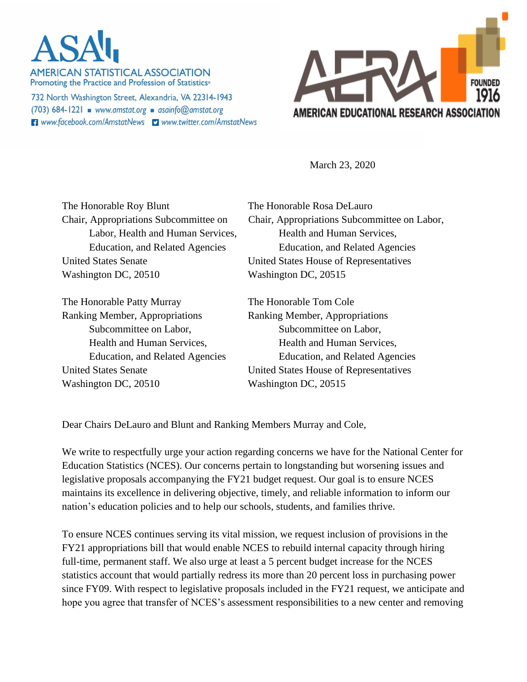**AMERICAN STATISTICAL ASSOCIATION** Promoting the Practice and Profession of Statistics®

732 North Washington Street, Alexandria, VA 22314-1943 (703) 684-1221 www.amstat.org asainfo@amstat.org **El** www.facebook.com/AmstatNews **D** www.twitter.com/AmstatNews



March 23, 2020

The Honorable Roy Blunt The Honorable Rosa DeLauro United States Senate United States House of Representatives Washington DC, 20510 Washington DC, 20515

The Honorable Patty Murray The Honorable Tom Cole Ranking Member, Appropriations Ranking Member, Appropriations Subcommittee on Labor, Subcommittee on Labor, Washington DC, 20510 Washington DC, 20515

Chair, Appropriations Subcommittee on Chair, Appropriations Subcommittee on Labor, Labor, Health and Human Services, Health and Human Services, Education, and Related Agencies Education, and Related Agencies

Health and Human Services, Health and Human Services, Education, and Related Agencies Education, and Related Agencies United States Senate United States House of Representatives

Dear Chairs DeLauro and Blunt and Ranking Members Murray and Cole,

We write to respectfully urge your action regarding concerns we have for the National Center for Education Statistics (NCES). Our concerns pertain to longstanding but worsening issues and legislative proposals accompanying the FY21 budget request. Our goal is to ensure NCES maintains its excellence in delivering objective, timely, and reliable information to inform our nation's education policies and to help our schools, students, and families thrive.

To ensure NCES continues serving its vital mission, we request inclusion of provisions in the FY21 appropriations bill that would enable NCES to rebuild internal capacity through hiring full-time, permanent staff. We also urge at least a 5 percent budget increase for the NCES statistics account that would partially redress its more than 20 percent loss in purchasing power since FY09. With respect to legislative proposals included in the FY21 request, we anticipate and hope you agree that transfer of NCES's assessment responsibilities to a new center and removing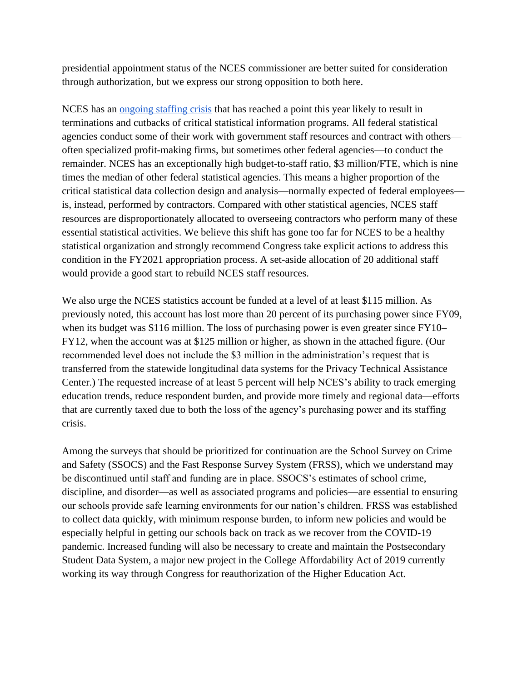presidential appointment status of the NCES commissioner are better suited for consideration through authorization, but we express our strong opposition to both here.

NCES has an [ongoing staffing crisis](https://www.amstat.org/asa/files/pdfs/POL-NCES%20one%20pager_StaffingApprops.pdf) that has reached a point this year likely to result in terminations and cutbacks of critical statistical information programs. All federal statistical agencies conduct some of their work with government staff resources and contract with others often specialized profit-making firms, but sometimes other federal agencies—to conduct the remainder. NCES has an exceptionally high budget-to-staff ratio, \$3 million/FTE, which is nine times the median of other federal statistical agencies. This means a higher proportion of the critical statistical data collection design and analysis—normally expected of federal employees is, instead, performed by contractors. Compared with other statistical agencies, NCES staff resources are disproportionately allocated to overseeing contractors who perform many of these essential statistical activities. We believe this shift has gone too far for NCES to be a healthy statistical organization and strongly recommend Congress take explicit actions to address this condition in the FY2021 appropriation process. A set-aside allocation of 20 additional staff would provide a good start to rebuild NCES staff resources.

We also urge the NCES statistics account be funded at a level of at least \$115 million. As previously noted, this account has lost more than 20 percent of its purchasing power since FY09, when its budget was \$116 million. The loss of purchasing power is even greater since FY10– FY12, when the account was at \$125 million or higher, as shown in the attached figure. (Our recommended level does not include the \$3 million in the administration's request that is transferred from the statewide longitudinal data systems for the Privacy Technical Assistance Center.) The requested increase of at least 5 percent will help NCES's ability to track emerging education trends, reduce respondent burden, and provide more timely and regional data—efforts that are currently taxed due to both the loss of the agency's purchasing power and its staffing crisis.

Among the surveys that should be prioritized for continuation are the School Survey on Crime and Safety (SSOCS) and the Fast Response Survey System (FRSS), which we understand may be discontinued until staff and funding are in place. SSOCS's estimates of school crime, discipline, and disorder—as well as associated programs and policies—are essential to ensuring our schools provide safe learning environments for our nation's children. FRSS was established to collect data quickly, with minimum response burden, to inform new policies and would be especially helpful in getting our schools back on track as we recover from the COVID-19 pandemic. Increased funding will also be necessary to create and maintain the Postsecondary Student Data System, a major new project in the College Affordability Act of 2019 currently working its way through Congress for reauthorization of the Higher Education Act.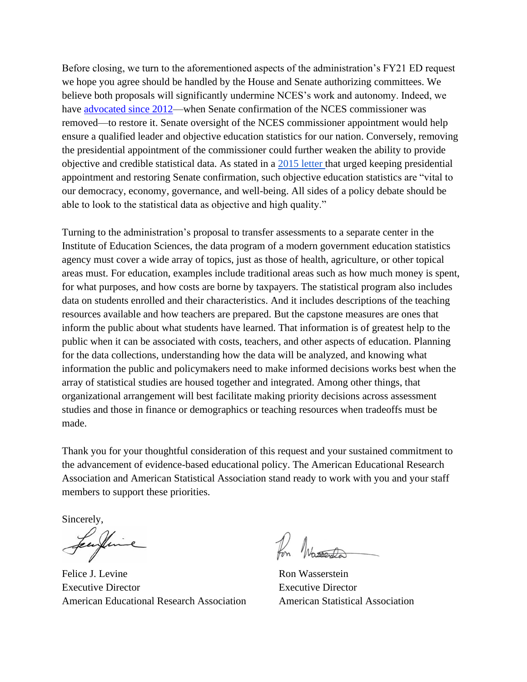Before closing, we turn to the aforementioned aspects of the administration's FY21 ED request we hope you agree should be handled by the House and Senate authorizing committees. We believe both proposals will significantly undermine NCES's work and autonomy. Indeed, we have [advocated since 2012—](https://www.amstat.org/asa/files/pdfs/POL-NCESandIESReauthorization.pdf)when Senate confirmation of the NCES commissioner was removed—to restore it. Senate oversight of the NCES commissioner appointment would help ensure a qualified leader and objective education statistics for our nation. Conversely, removing the presidential appointment of the commissioner could further weaken the ability to provide objective and credible statistical data. As stated in a [2015 letter t](https://ww2.amstat.org/misc/FormerAgencyHeadLetter.pdf)hat urged keeping presidential appointment and restoring Senate confirmation, such objective education statistics are "vital to our democracy, economy, governance, and well-being. All sides of a policy debate should be able to look to the statistical data as objective and high quality."

Turning to the administration's proposal to transfer assessments to a separate center in the Institute of Education Sciences, the data program of a modern government education statistics agency must cover a wide array of topics, just as those of health, agriculture, or other topical areas must. For education, examples include traditional areas such as how much money is spent, for what purposes, and how costs are borne by taxpayers. The statistical program also includes data on students enrolled and their characteristics. And it includes descriptions of the teaching resources available and how teachers are prepared. But the capstone measures are ones that inform the public about what students have learned. That information is of greatest help to the public when it can be associated with costs, teachers, and other aspects of education. Planning for the data collections, understanding how the data will be analyzed, and knowing what information the public and policymakers need to make informed decisions works best when the array of statistical studies are housed together and integrated. Among other things, that organizational arrangement will best facilitate making priority decisions across assessment studies and those in finance or demographics or teaching resources when tradeoffs must be made.

Thank you for your thoughtful consideration of this request and your sustained commitment to the advancement of evidence-based educational policy. The American Educational Research Association and American Statistical Association stand ready to work with you and your staff members to support these priorities.

Sincerely,

Felice J. Levine Executive Director American Educational Research Association

Ron Wasserstein Executive Director American Statistical Association